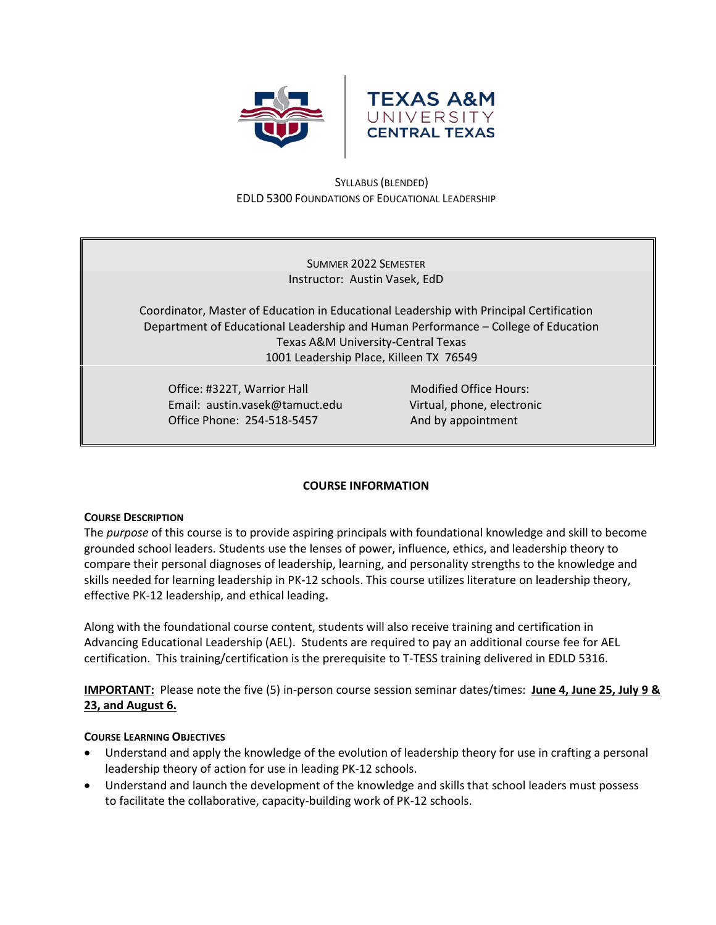



# SYLLABUS (BLENDED) EDLD 5300 FOUNDATIONS OF EDUCATIONAL LEADERSHIP

SUMMER 2022 SEMESTER Instructor: Austin Vasek, EdD

Coordinator, Master of Education in Educational Leadership with Principal Certification Department of Educational Leadership and Human Performance – College of Education Texas A&M University-Central Texas 1001 Leadership Place, Killeen TX 76549

Office: #322T, Warrior Hall Modified Office Hours: Email: austin.vasek@tamuct.edu Virtual, phone, electronic Office Phone: 254-518-5457 And by appointment

# **COURSE INFORMATION**

## **COURSE DESCRIPTION**

The *purpose* of this course is to provide aspiring principals with foundational knowledge and skill to become grounded school leaders. Students use the lenses of power, influence, ethics, and leadership theory to compare their personal diagnoses of leadership, learning, and personality strengths to the knowledge and skills needed for learning leadership in PK-12 schools. This course utilizes literature on leadership theory, effective PK-12 leadership, and ethical leading**.**

Along with the foundational course content, students will also receive training and certification in Advancing Educational Leadership (AEL). Students are required to pay an additional course fee for AEL certification. This training/certification is the prerequisite to T-TESS training delivered in EDLD 5316.

**IMPORTANT:** Please note the five (5) in-person course session seminar dates/times: **June 4, June 25, July 9 & 23, and August 6.**

## **COURSE LEARNING OBJECTIVES**

- Understand and apply the knowledge of the evolution of leadership theory for use in crafting a personal leadership theory of action for use in leading PK-12 schools.
- Understand and launch the development of the knowledge and skills that school leaders must possess to facilitate the collaborative, capacity-building work of PK-12 schools.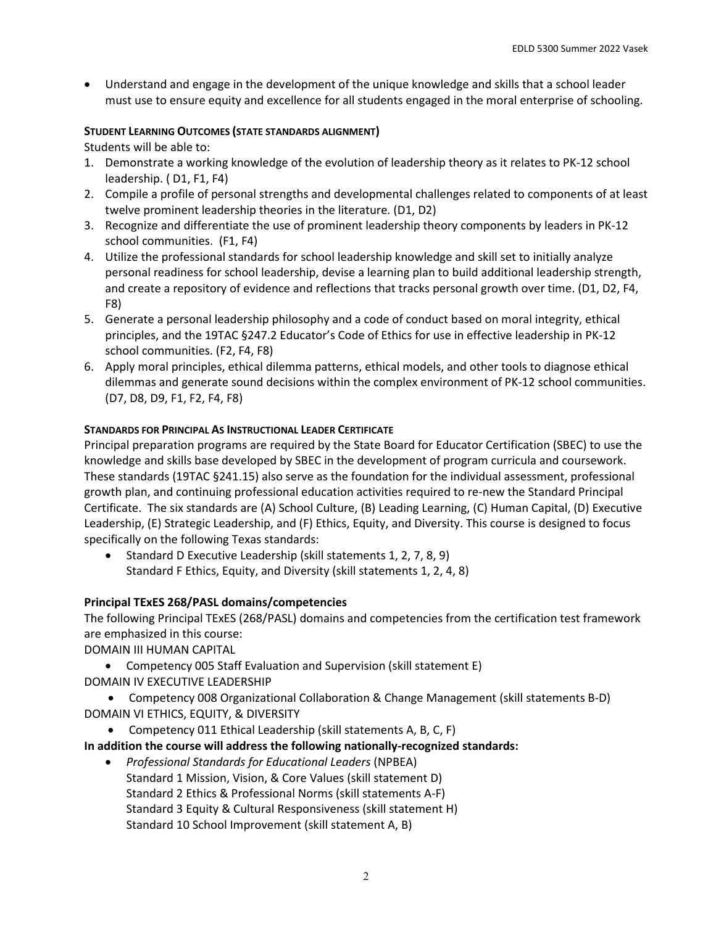• Understand and engage in the development of the unique knowledge and skills that a school leader must use to ensure equity and excellence for all students engaged in the moral enterprise of schooling.

# **STUDENT LEARNING OUTCOMES (STATE STANDARDS ALIGNMENT)**

Students will be able to:

- 1. Demonstrate a working knowledge of the evolution of leadership theory as it relates to PK-12 school leadership. ( D1, F1, F4)
- 2. Compile a profile of personal strengths and developmental challenges related to components of at least twelve prominent leadership theories in the literature. (D1, D2)
- 3. Recognize and differentiate the use of prominent leadership theory components by leaders in PK-12 school communities. (F1, F4)
- 4. Utilize the professional standards for school leadership knowledge and skill set to initially analyze personal readiness for school leadership, devise a learning plan to build additional leadership strength, and create a repository of evidence and reflections that tracks personal growth over time. (D1, D2, F4, F8)
- 5. Generate a personal leadership philosophy and a code of conduct based on moral integrity, ethical principles, and the 19TAC §247.2 Educator's Code of Ethics for use in effective leadership in PK-12 school communities. (F2, F4, F8)
- 6. Apply moral principles, ethical dilemma patterns, ethical models, and other tools to diagnose ethical dilemmas and generate sound decisions within the complex environment of PK-12 school communities. (D7, D8, D9, F1, F2, F4, F8)

# **STANDARDS FOR PRINCIPAL AS INSTRUCTIONAL LEADER CERTIFICATE**

Principal preparation programs are required by the State Board for Educator Certification (SBEC) to use the knowledge and skills base developed by SBEC in the development of program curricula and coursework. These standards (19TAC §241.15) also serve as the foundation for the individual assessment, professional growth plan, and continuing professional education activities required to re-new the Standard Principal Certificate. The six standards are (A) School Culture, (B) Leading Learning, (C) Human Capital, (D) Executive Leadership, (E) Strategic Leadership, and (F) Ethics, Equity, and Diversity. This course is designed to focus specifically on the following Texas standards:

• Standard D Executive Leadership (skill statements 1, 2, 7, 8, 9) Standard F Ethics, Equity, and Diversity (skill statements 1, 2, 4, 8)

# **Principal TExES 268/PASL domains/competencies**

The following Principal TExES (268/PASL) domains and competencies from the certification test framework are emphasized in this course:

DOMAIN III HUMAN CAPITAL

- Competency 005 Staff Evaluation and Supervision (skill statement E) DOMAIN IV EXECUTIVE LEADERSHIP
- Competency 008 Organizational Collaboration & Change Management (skill statements B-D) DOMAIN VI ETHICS, EQUITY, & DIVERSITY
	- Competency 011 Ethical Leadership (skill statements A, B, C, F)

# **In addition the course will address the following nationally-recognized standards:**

• *Professional Standards for Educational Leaders* (NPBEA) Standard 1 Mission, Vision, & Core Values (skill statement D) Standard 2 Ethics & Professional Norms (skill statements A-F) Standard 3 Equity & Cultural Responsiveness (skill statement H) Standard 10 School Improvement (skill statement A, B)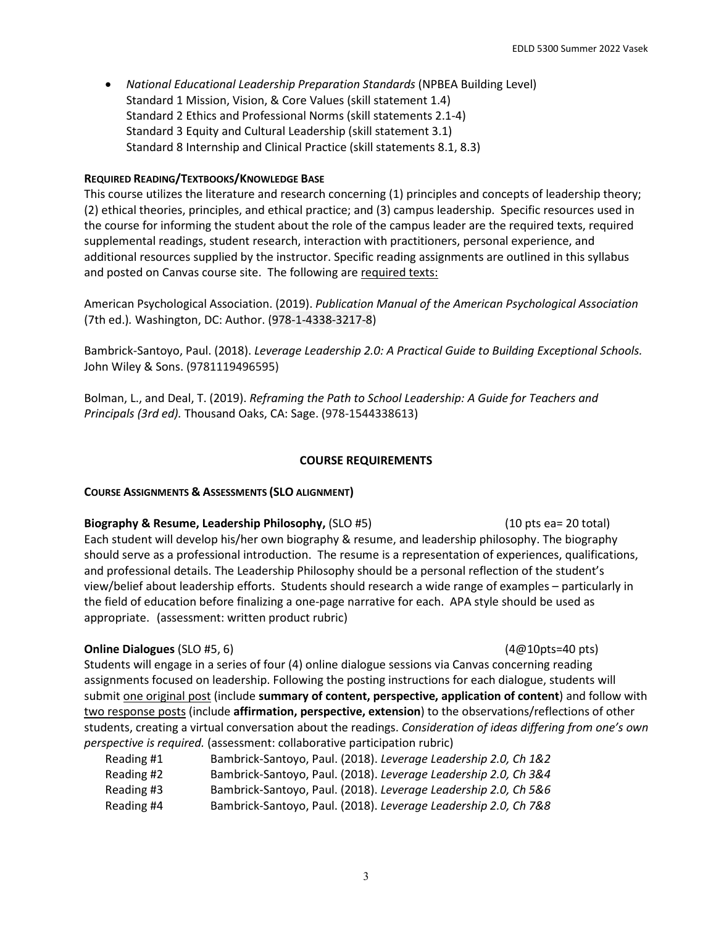• *National Educational Leadership Preparation Standards* (NPBEA Building Level) Standard 1 Mission, Vision, & Core Values (skill statement 1.4) Standard 2 Ethics and Professional Norms (skill statements 2.1-4) Standard 3 Equity and Cultural Leadership (skill statement 3.1) Standard 8 Internship and Clinical Practice (skill statements 8.1, 8.3)

### **REQUIRED READING/TEXTBOOKS/KNOWLEDGE BASE**

This course utilizes the literature and research concerning (1) principles and concepts of leadership theory; (2) ethical theories, principles, and ethical practice; and (3) campus leadership. Specific resources used in the course for informing the student about the role of the campus leader are the required texts, required supplemental readings, student research, interaction with practitioners, personal experience, and additional resources supplied by the instructor. Specific reading assignments are outlined in this syllabus and posted on Canvas course site. The following are required texts:

American Psychological Association. (2019). *Publication Manual of the American Psychological Association*  (7th ed.)*.* Washington, DC: Author. (978-1-4338-3217-8)

Bambrick-Santoyo, Paul. (2018). *Leverage Leadership 2.0: A Practical Guide to Building Exceptional Schools.* John Wiley & Sons. (9781119496595)

Bolman, L., and Deal, T. (2019). *Reframing the Path to School Leadership: A Guide for Teachers and Principals (3rd ed).* Thousand Oaks, CA: Sage. (978-1544338613)

### **COURSE REQUIREMENTS**

#### **COURSE ASSIGNMENTS & ASSESSMENTS (SLO ALIGNMENT)**

**Biography & Resume, Leadership Philosophy,** (SLO #5)(10 pts ea= 20 total) Each student will develop his/her own biography & resume, and leadership philosophy. The biography should serve as a professional introduction. The resume is a representation of experiences, qualifications, and professional details. The Leadership Philosophy should be a personal reflection of the student's view/belief about leadership efforts. Students should research a wide range of examples – particularly in the field of education before finalizing a one-page narrative for each. APA style should be used as appropriate. (assessment: written product rubric)

#### **Online Dialogues** (SLO #5, 6) *CONDER 10 CONDER 10**(4@10pts=40 pts)**(4@10pts=40 pts)*

Students will engage in a series of four (4) online dialogue sessions via Canvas concerning reading assignments focused on leadership. Following the posting instructions for each dialogue, students will submit one original post (include **summary of content, perspective, application of content**) and follow with two response posts (include **affirmation, perspective, extension**) to the observations/reflections of other students, creating a virtual conversation about the readings. *Consideration of ideas differing from one's own perspective is required.* (assessment: collaborative participation rubric)

| Reading #1 | Bambrick-Santoyo, Paul. (2018). Leverage Leadership 2.0, Ch 1&2 |
|------------|-----------------------------------------------------------------|
| Reading #2 | Bambrick-Santoyo, Paul. (2018). Leverage Leadership 2.0, Ch 3&4 |
| Reading #3 | Bambrick-Santoyo, Paul. (2018). Leverage Leadership 2.0, Ch 5&6 |
| Reading #4 | Bambrick-Santoyo, Paul. (2018). Leverage Leadership 2.0, Ch 7&8 |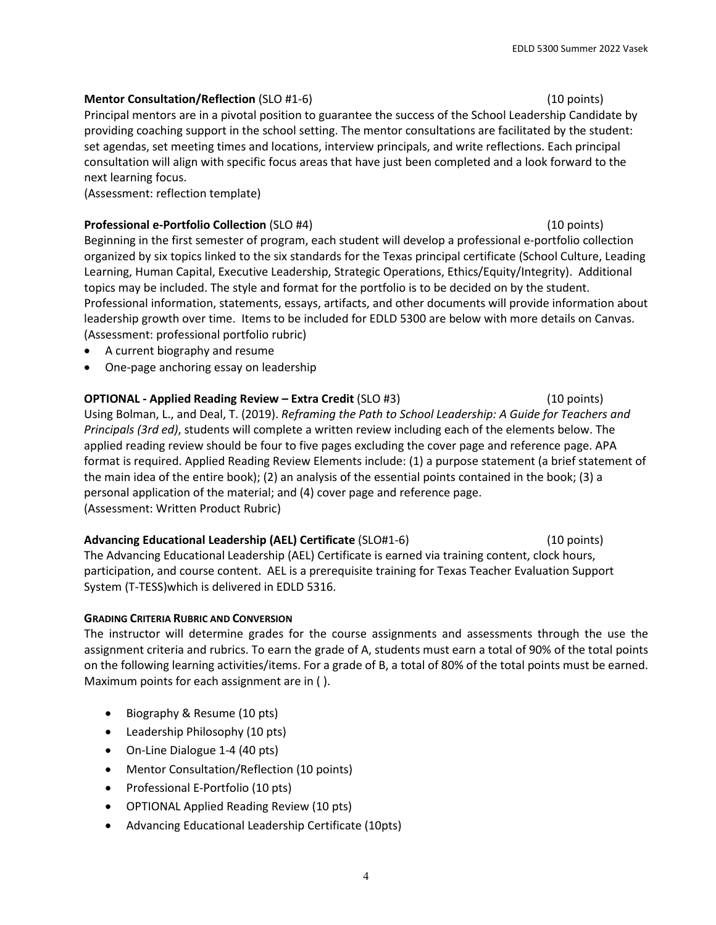# **Mentor Consultation/Reflection** (SLO #1-6)(10 points)

Principal mentors are in a pivotal position to guarantee the success of the School Leadership Candidate by providing coaching support in the school setting. The mentor consultations are facilitated by the student: set agendas, set meeting times and locations, interview principals, and write reflections. Each principal consultation will align with specific focus areas that have just been completed and a look forward to the next learning focus.

(Assessment: reflection template)

# **Professional e-Portfolio Collection** (SLO #4)(10 points)

Beginning in the first semester of program, each student will develop a professional e-portfolio collection organized by six topics linked to the six standards for the Texas principal certificate (School Culture, Leading Learning, Human Capital, Executive Leadership, Strategic Operations, Ethics/Equity/Integrity). Additional topics may be included. The style and format for the portfolio is to be decided on by the student. Professional information, statements, essays, artifacts, and other documents will provide information about leadership growth over time. Items to be included for EDLD 5300 are below with more details on Canvas. (Assessment: professional portfolio rubric)

- A current biography and resume
- One-page anchoring essay on leadership

# **OPTIONAL - Applied Reading Review – Extra Credit** (SLO #3) (10 points) Using Bolman, L., and Deal, T. (2019). *Reframing the Path to School Leadership: A Guide for Teachers and Principals (3rd ed)*, students will complete a written review including each of the elements below. The applied reading review should be four to five pages excluding the cover page and reference page. APA format is required. Applied Reading Review Elements include: (1) a purpose statement (a brief statement of

the main idea of the entire book); (2) an analysis of the essential points contained in the book; (3) a personal application of the material; and (4) cover page and reference page. (Assessment: Written Product Rubric)

# **Advancing Educational Leadership (AEL) Certificate** (SLO#1-6) (10 points)

The Advancing Educational Leadership (AEL) Certificate is earned via training content, clock hours, participation, and course content. AEL is a prerequisite training for Texas Teacher Evaluation Support System (T-TESS)which is delivered in EDLD 5316.

## **GRADING CRITERIA RUBRIC AND CONVERSION**

The instructor will determine grades for the course assignments and assessments through the use the assignment criteria and rubrics. To earn the grade of A, students must earn a total of 90% of the total points on the following learning activities/items. For a grade of B, a total of 80% of the total points must be earned. Maximum points for each assignment are in ( ).

- Biography & Resume (10 pts)
- Leadership Philosophy (10 pts)
- On-Line Dialogue 1-4 (40 pts)
- Mentor Consultation/Reflection (10 points)
- Professional E-Portfolio (10 pts)
- OPTIONAL Applied Reading Review (10 pts)
- Advancing Educational Leadership Certificate (10pts)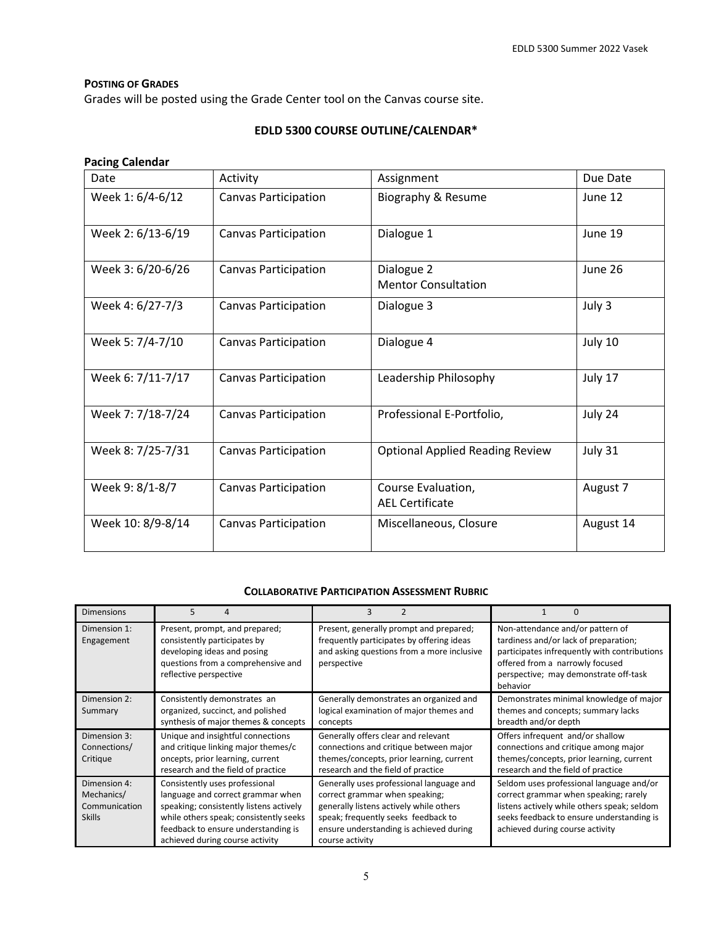## **POSTING OF GRADES**

Grades will be posted using the Grade Center tool on the Canvas course site.

# **EDLD 5300 COURSE OUTLINE/CALENDAR\***

# **Pacing Calendar**

| Date              | Activity                    | Assignment                                   | Due Date  |
|-------------------|-----------------------------|----------------------------------------------|-----------|
| Week 1: 6/4-6/12  | Canvas Participation        | Biography & Resume                           | June 12   |
| Week 2: 6/13-6/19 | <b>Canvas Participation</b> | Dialogue 1                                   | June 19   |
| Week 3: 6/20-6/26 | <b>Canvas Participation</b> | Dialogue 2<br><b>Mentor Consultation</b>     | June 26   |
| Week 4: 6/27-7/3  | <b>Canvas Participation</b> | Dialogue 3                                   | July 3    |
| Week 5: 7/4-7/10  | <b>Canvas Participation</b> | Dialogue 4                                   | July 10   |
| Week 6: 7/11-7/17 | <b>Canvas Participation</b> | Leadership Philosophy                        | July 17   |
| Week 7: 7/18-7/24 | Canvas Participation        | Professional E-Portfolio,                    | July 24   |
| Week 8: 7/25-7/31 | <b>Canvas Participation</b> | <b>Optional Applied Reading Review</b>       | July 31   |
| Week 9: 8/1-8/7   | <b>Canvas Participation</b> | Course Evaluation.<br><b>AEL Certificate</b> | August 7  |
| Week 10: 8/9-8/14 | <b>Canvas Participation</b> | Miscellaneous, Closure                       | August 14 |

## **COLLABORATIVE PARTICIPATION ASSESSMENT RUBRIC**

| <b>Dimensions</b>                                            | 5                                                                                                                                                                                                                                  | 3                                                                                                                                                                                                                          |                                                                                                                                                                                                                   |
|--------------------------------------------------------------|------------------------------------------------------------------------------------------------------------------------------------------------------------------------------------------------------------------------------------|----------------------------------------------------------------------------------------------------------------------------------------------------------------------------------------------------------------------------|-------------------------------------------------------------------------------------------------------------------------------------------------------------------------------------------------------------------|
| Dimension 1:<br>Engagement                                   | Present, prompt, and prepared;<br>consistently participates by<br>developing ideas and posing<br>questions from a comprehensive and<br>reflective perspective                                                                      | Present, generally prompt and prepared;<br>frequently participates by offering ideas<br>and asking questions from a more inclusive<br>perspective                                                                          | Non-attendance and/or pattern of<br>tardiness and/or lack of preparation;<br>participates infrequently with contributions<br>offered from a narrowly focused<br>perspective; may demonstrate off-task<br>behavior |
| Dimension 2:<br>Summary                                      | Consistently demonstrates an<br>organized, succinct, and polished<br>synthesis of major themes & concepts                                                                                                                          | Generally demonstrates an organized and<br>logical examination of major themes and<br>concepts                                                                                                                             | Demonstrates minimal knowledge of major<br>themes and concepts; summary lacks<br>breadth and/or depth                                                                                                             |
| Dimension 3:<br>Connections/<br>Critique                     | Unique and insightful connections<br>and critique linking major themes/c<br>oncepts, prior learning, current<br>research and the field of practice                                                                                 | Generally offers clear and relevant<br>connections and critique between major<br>themes/concepts, prior learning, current<br>research and the field of practice                                                            | Offers infrequent and/or shallow<br>connections and critique among major<br>themes/concepts, prior learning, current<br>research and the field of practice                                                        |
| Dimension 4:<br>Mechanics/<br>Communication<br><b>Skills</b> | Consistently uses professional<br>language and correct grammar when<br>speaking; consistently listens actively<br>while others speak; consistently seeks<br>feedback to ensure understanding is<br>achieved during course activity | Generally uses professional language and<br>correct grammar when speaking;<br>generally listens actively while others<br>speak; frequently seeks feedback to<br>ensure understanding is achieved during<br>course activity | Seldom uses professional language and/or<br>correct grammar when speaking; rarely<br>listens actively while others speak; seldom<br>seeks feedback to ensure understanding is<br>achieved during course activity  |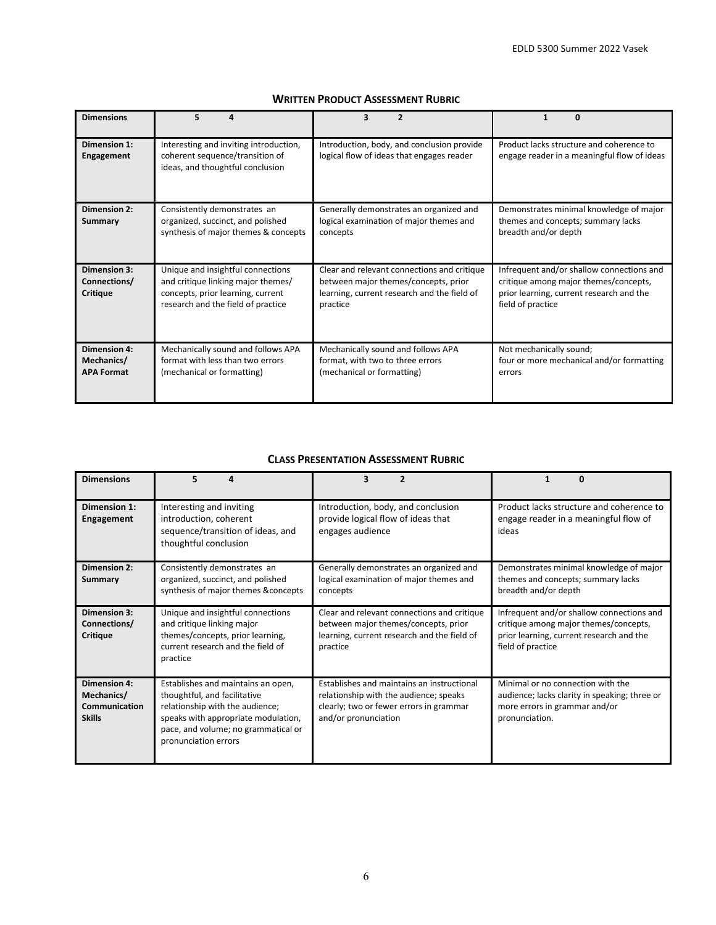| <b>Dimensions</b>                               | 5                                                                                                                                                  | 3<br>$\overline{2}$                                                                                                                            |                                                                                                                                                     |
|-------------------------------------------------|----------------------------------------------------------------------------------------------------------------------------------------------------|------------------------------------------------------------------------------------------------------------------------------------------------|-----------------------------------------------------------------------------------------------------------------------------------------------------|
| Dimension 1:<br>Engagement                      | Interesting and inviting introduction,<br>coherent sequence/transition of<br>ideas, and thoughtful conclusion                                      | Introduction, body, and conclusion provide<br>logical flow of ideas that engages reader                                                        | Product lacks structure and coherence to<br>engage reader in a meaningful flow of ideas                                                             |
| <b>Dimension 2:</b><br>Summary                  | Consistently demonstrates an<br>organized, succinct, and polished<br>synthesis of major themes & concepts                                          | Generally demonstrates an organized and<br>logical examination of major themes and<br>concepts                                                 | Demonstrates minimal knowledge of major<br>themes and concepts; summary lacks<br>breadth and/or depth                                               |
| <b>Dimension 3:</b><br>Connections/<br>Critique | Unique and insightful connections<br>and critique linking major themes/<br>concepts, prior learning, current<br>research and the field of practice | Clear and relevant connections and critique<br>between major themes/concepts, prior<br>learning, current research and the field of<br>practice | Infrequent and/or shallow connections and<br>critique among major themes/concepts,<br>prior learning, current research and the<br>field of practice |
| Dimension 4:<br>Mechanics/<br><b>APA Format</b> | Mechanically sound and follows APA<br>format with less than two errors<br>(mechanical or formatting)                                               | Mechanically sound and follows APA<br>format, with two to three errors<br>(mechanical or formatting)                                           | Not mechanically sound;<br>four or more mechanical and/or formatting<br>errors                                                                      |

# **WRITTEN PRODUCT ASSESSMENT RUBRIC**

# **CLASS PRESENTATION ASSESSMENT RUBRIC**

| <b>Dimensions</b>                                                   | 5<br>Δ                                                                                                                                                                                                      | 2<br>з                                                                                                                                                  | 0                                                                                                                                                   |
|---------------------------------------------------------------------|-------------------------------------------------------------------------------------------------------------------------------------------------------------------------------------------------------------|---------------------------------------------------------------------------------------------------------------------------------------------------------|-----------------------------------------------------------------------------------------------------------------------------------------------------|
| Dimension 1:<br><b>Engagement</b>                                   | Interesting and inviting<br>introduction, coherent<br>sequence/transition of ideas, and<br>thoughtful conclusion                                                                                            | Introduction, body, and conclusion<br>provide logical flow of ideas that<br>engages audience                                                            | Product lacks structure and coherence to<br>engage reader in a meaningful flow of<br>ideas                                                          |
| <b>Dimension 2:</b><br>Summary                                      | Consistently demonstrates an<br>organized, succinct, and polished<br>synthesis of major themes & concepts                                                                                                   | Generally demonstrates an organized and<br>logical examination of major themes and<br>concepts                                                          | Demonstrates minimal knowledge of major<br>themes and concepts; summary lacks<br>breadth and/or depth                                               |
| <b>Dimension 3:</b><br>Connections/<br>Critique                     | Unique and insightful connections<br>and critique linking major<br>themes/concepts, prior learning,<br>current research and the field of<br>practice                                                        | Clear and relevant connections and critique<br>between major themes/concepts, prior<br>learning, current research and the field of<br>practice          | Infrequent and/or shallow connections and<br>critique among major themes/concepts,<br>prior learning, current research and the<br>field of practice |
| <b>Dimension 4:</b><br>Mechanics/<br>Communication<br><b>Skills</b> | Establishes and maintains an open,<br>thoughtful, and facilitative<br>relationship with the audience;<br>speaks with appropriate modulation,<br>pace, and volume; no grammatical or<br>pronunciation errors | Establishes and maintains an instructional<br>relationship with the audience; speaks<br>clearly; two or fewer errors in grammar<br>and/or pronunciation | Minimal or no connection with the<br>audience; lacks clarity in speaking; three or<br>more errors in grammar and/or<br>pronunciation.               |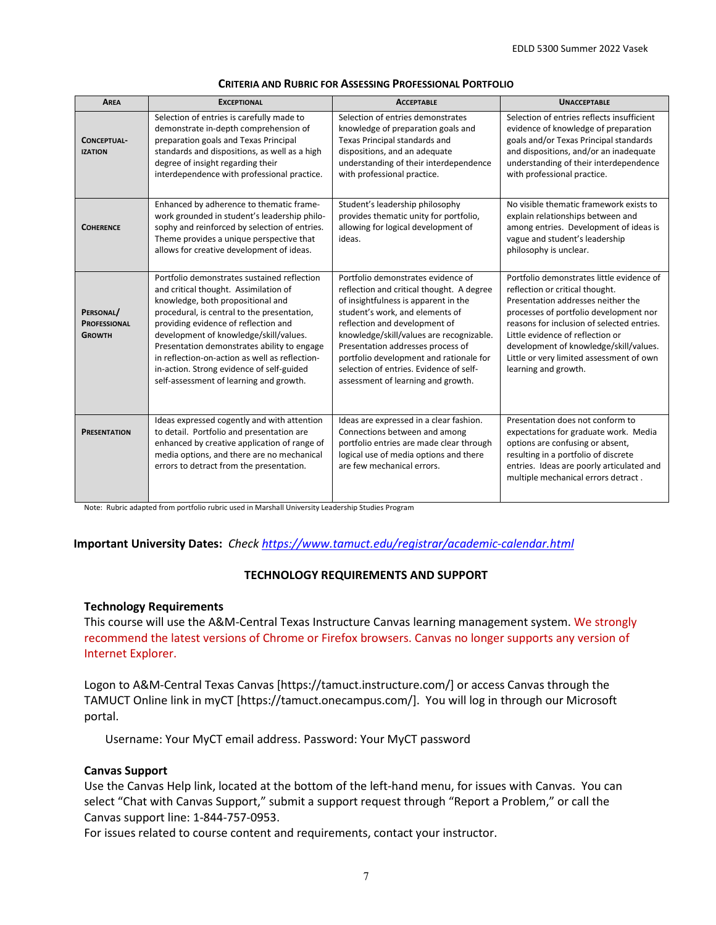| <b>AREA</b>                                       | <b>EXCEPTIONAL</b>                                                                                                                                                                                                                                                                                                                                                                                                                                  | <b>ACCEPTABLE</b>                                                                                                                                                                                                                                                                                                                                                                                        | <b>UNACCEPTABLE</b>                                                                                                                                                                                                                                                                                                                                          |
|---------------------------------------------------|-----------------------------------------------------------------------------------------------------------------------------------------------------------------------------------------------------------------------------------------------------------------------------------------------------------------------------------------------------------------------------------------------------------------------------------------------------|----------------------------------------------------------------------------------------------------------------------------------------------------------------------------------------------------------------------------------------------------------------------------------------------------------------------------------------------------------------------------------------------------------|--------------------------------------------------------------------------------------------------------------------------------------------------------------------------------------------------------------------------------------------------------------------------------------------------------------------------------------------------------------|
| CONCEPTUAL-<br><b>IZATION</b>                     | Selection of entries is carefully made to<br>demonstrate in-depth comprehension of<br>preparation goals and Texas Principal<br>standards and dispositions, as well as a high<br>degree of insight regarding their<br>interdependence with professional practice.                                                                                                                                                                                    | Selection of entries demonstrates<br>knowledge of preparation goals and<br>Texas Principal standards and<br>dispositions, and an adequate<br>understanding of their interdependence<br>with professional practice.                                                                                                                                                                                       | Selection of entries reflects insufficient<br>evidence of knowledge of preparation<br>goals and/or Texas Principal standards<br>and dispositions, and/or an inadequate<br>understanding of their interdependence<br>with professional practice.                                                                                                              |
| <b>COHERENCE</b>                                  | Enhanced by adherence to thematic frame-<br>work grounded in student's leadership philo-<br>sophy and reinforced by selection of entries.<br>Theme provides a unique perspective that<br>allows for creative development of ideas.                                                                                                                                                                                                                  | Student's leadership philosophy<br>provides thematic unity for portfolio,<br>allowing for logical development of<br>ideas.                                                                                                                                                                                                                                                                               | No visible thematic framework exists to<br>explain relationships between and<br>among entries. Development of ideas is<br>vague and student's leadership<br>philosophy is unclear.                                                                                                                                                                           |
| PERSONAL/<br><b>PROFESSIONAL</b><br><b>GROWTH</b> | Portfolio demonstrates sustained reflection<br>and critical thought. Assimilation of<br>knowledge, both propositional and<br>procedural, is central to the presentation,<br>providing evidence of reflection and<br>development of knowledge/skill/values.<br>Presentation demonstrates ability to engage<br>in reflection-on-action as well as reflection-<br>in-action. Strong evidence of self-guided<br>self-assessment of learning and growth. | Portfolio demonstrates evidence of<br>reflection and critical thought. A degree<br>of insightfulness is apparent in the<br>student's work, and elements of<br>reflection and development of<br>knowledge/skill/values are recognizable.<br>Presentation addresses process of<br>portfolio development and rationale for<br>selection of entries. Evidence of self-<br>assessment of learning and growth. | Portfolio demonstrates little evidence of<br>reflection or critical thought.<br>Presentation addresses neither the<br>processes of portfolio development nor<br>reasons for inclusion of selected entries.<br>Little evidence of reflection or<br>development of knowledge/skill/values.<br>Little or very limited assessment of own<br>learning and growth. |
| <b>PRESENTATION</b>                               | Ideas expressed cogently and with attention<br>to detail. Portfolio and presentation are<br>enhanced by creative application of range of<br>media options, and there are no mechanical<br>errors to detract from the presentation.                                                                                                                                                                                                                  | Ideas are expressed in a clear fashion.<br>Connections between and among<br>portfolio entries are made clear through<br>logical use of media options and there<br>are few mechanical errors.                                                                                                                                                                                                             | Presentation does not conform to<br>expectations for graduate work. Media<br>options are confusing or absent,<br>resulting in a portfolio of discrete<br>entries. Ideas are poorly articulated and<br>multiple mechanical errors detract.                                                                                                                    |

#### **CRITERIA AND RUBRIC FOR ASSESSING PROFESSIONAL PORTFOLIO**

Note: Rubric adapted from portfolio rubric used in Marshall University Leadership Studies Program

#### **Important University Dates:** *Check<https://www.tamuct.edu/registrar/academic-calendar.html>*

#### **TECHNOLOGY REQUIREMENTS AND SUPPORT**

#### **Technology Requirements**

This course will use the A&M-Central Texas Instructure Canvas learning management system. We strongly recommend the latest versions of Chrome or Firefox browsers. Canvas no longer supports any version of Internet Explorer.

Logon to A&M-Central Texas Canvas [https://tamuct.instructure.com/] or access Canvas through the TAMUCT Online link in myCT [https://tamuct.onecampus.com/]. You will log in through our Microsoft portal.

Username: Your MyCT email address. Password: Your MyCT password

#### **Canvas Support**

Use the Canvas Help link, located at the bottom of the left-hand menu, for issues with Canvas. You can select "Chat with Canvas Support," submit a support request through "Report a Problem," or call the Canvas support line: 1-844-757-0953.

For issues related to course content and requirements, contact your instructor.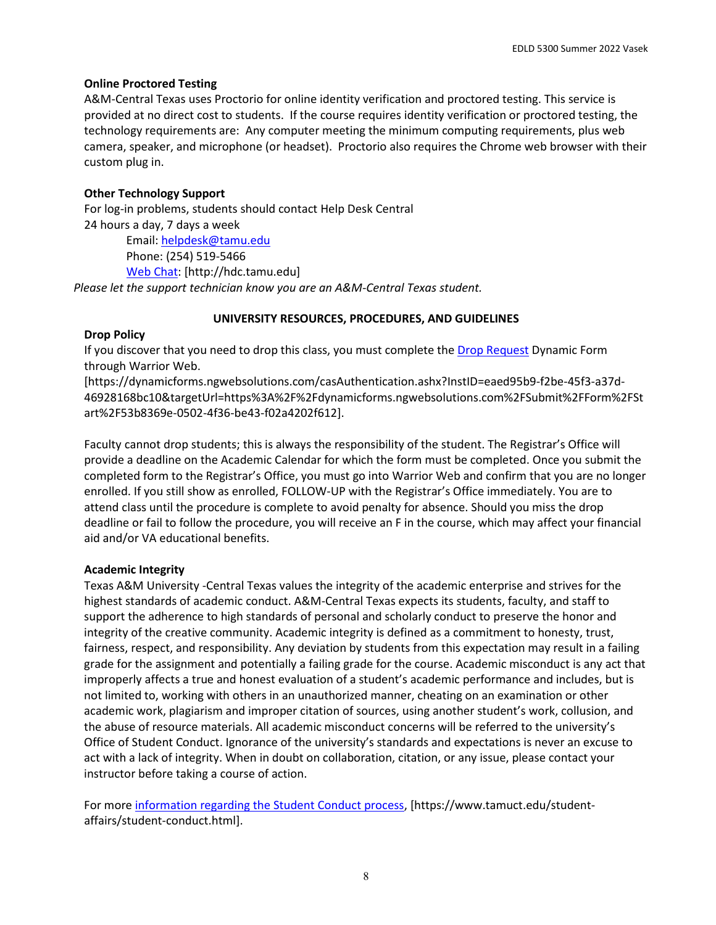EDLD 5300 Summer 2022 Vasek

## **Online Proctored Testing**

A&M-Central Texas uses Proctorio for online identity verification and proctored testing. This service is provided at no direct cost to students. If the course requires identity verification or proctored testing, the technology requirements are: Any computer meeting the minimum computing requirements, plus web camera, speaker, and microphone (or headset). Proctorio also requires the Chrome web browser with their custom plug in.

## **Other Technology Support**

For log-in problems, students should contact Help Desk Central 24 hours a day, 7 days a week Email: [helpdesk@tamu.edu](mailto:helpdesk@tamu.edu) Phone: (254) 519-5466

[Web Chat:](http://hdc.tamu.edu/) [http://hdc.tamu.edu]

*Please let the support technician know you are an A&M-Central Texas student.*

## **UNIVERSITY RESOURCES, PROCEDURES, AND GUIDELINES**

## **Drop Policy**

If you discover that you need to drop this class, you must complete the [Drop Request](https://dynamicforms.ngwebsolutions.com/casAuthentication.ashx?InstID=eaed95b9-f2be-45f3-a37d-46928168bc10&targetUrl=https%3A%2F%2Fdynamicforms.ngwebsolutions.com%2FSubmit%2FForm%2FStart%2F53b8369e-0502-4f36-be43-f02a4202f612) Dynamic Form through Warrior Web.

[https://dynamicforms.ngwebsolutions.com/casAuthentication.ashx?InstID=eaed95b9-f2be-45f3-a37d-46928168bc10&targetUrl=https%3A%2F%2Fdynamicforms.ngwebsolutions.com%2FSubmit%2FForm%2FSt art%2F53b8369e-0502-4f36-be43-f02a4202f612].

Faculty cannot drop students; this is always the responsibility of the student. The Registrar's Office will provide a deadline on the Academic Calendar for which the form must be completed. Once you submit the completed form to the Registrar's Office, you must go into Warrior Web and confirm that you are no longer enrolled. If you still show as enrolled, FOLLOW-UP with the Registrar's Office immediately. You are to attend class until the procedure is complete to avoid penalty for absence. Should you miss the drop deadline or fail to follow the procedure, you will receive an F in the course, which may affect your financial aid and/or VA educational benefits.

## **Academic Integrity**

Texas A&M University -Central Texas values the integrity of the academic enterprise and strives for the highest standards of academic conduct. A&M-Central Texas expects its students, faculty, and staff to support the adherence to high standards of personal and scholarly conduct to preserve the honor and integrity of the creative community. Academic integrity is defined as a commitment to honesty, trust, fairness, respect, and responsibility. Any deviation by students from this expectation may result in a failing grade for the assignment and potentially a failing grade for the course. Academic misconduct is any act that improperly affects a true and honest evaluation of a student's academic performance and includes, but is not limited to, working with others in an unauthorized manner, cheating on an examination or other academic work, plagiarism and improper citation of sources, using another student's work, collusion, and the abuse of resource materials. All academic misconduct concerns will be referred to the university's Office of Student Conduct. Ignorance of the university's standards and expectations is never an excuse to act with a lack of integrity. When in doubt on collaboration, citation, or any issue, please contact your instructor before taking a course of action.

For mor[e information regarding the Student Conduct process,](https://www.tamuct.edu/student-affairs/student-conduct.html) [https://www.tamuct.edu/studentaffairs/student-conduct.html].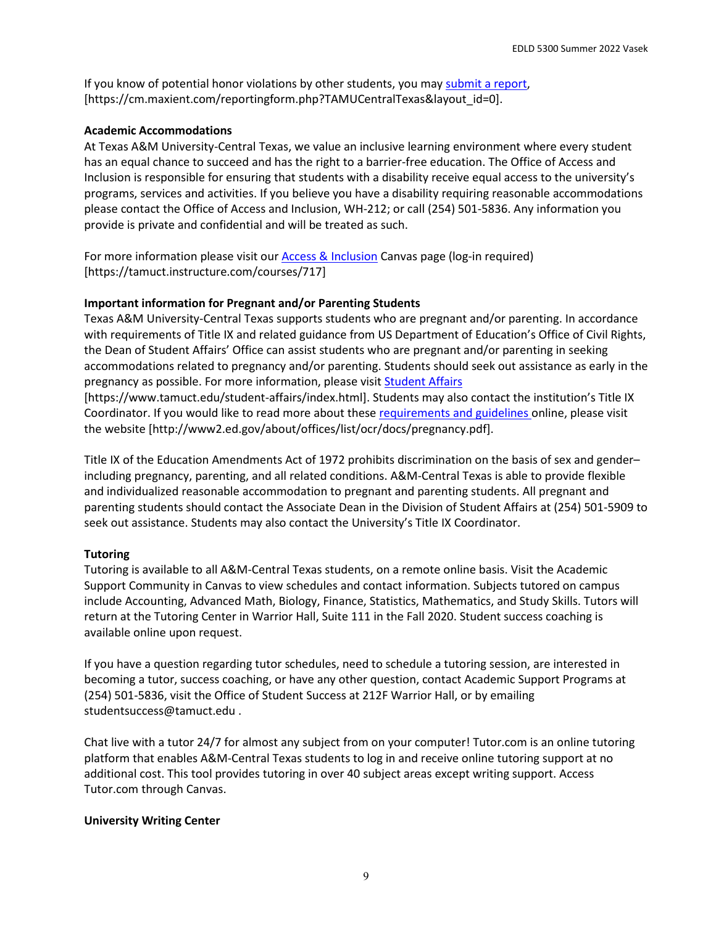If you know of potential honor violations by other students, you may [submit a report,](https://cm.maxient.com/reportingform.php?TAMUCentralTexas&layout_id=0) [https://cm.maxient.com/reportingform.php?TAMUCentralTexas&layout\_id=0].

## **Academic Accommodations**

At Texas A&M University-Central Texas, we value an inclusive learning environment where every student has an equal chance to succeed and has the right to a barrier-free education. The Office of Access and Inclusion is responsible for ensuring that students with a disability receive equal access to the university's programs, services and activities. If you believe you have a disability requiring reasonable accommodations please contact the Office of Access and Inclusion, WH-212; or call (254) 501-5836. Any information you provide is private and confidential and will be treated as such.

For more information please visit our [Access & Inclusion](https://tamuct.instructure.com/courses/717) Canvas page (log-in required) [https://tamuct.instructure.com/courses/717]

# **Important information for Pregnant and/or Parenting Students**

Texas A&M University-Central Texas supports students who are pregnant and/or parenting. In accordance with requirements of Title IX and related guidance from US Department of Education's Office of Civil Rights, the Dean of Student Affairs' Office can assist students who are pregnant and/or parenting in seeking accommodations related to pregnancy and/or parenting. Students should seek out assistance as early in the pregnancy as possible. For more information, please visi[t Student Affairs](https://www.tamuct.edu/student-affairs/index.html)

[https://www.tamuct.edu/student-affairs/index.html]. Students may also contact the institution's Title IX Coordinator. If you would like to read more about these [requirements and guidelines](http://www2.ed.gov/about/offices/list/ocr/docs/pregnancy.pdf) online, please visit the website [http://www2.ed.gov/about/offices/list/ocr/docs/pregnancy.pdf].

Title IX of the Education Amendments Act of 1972 prohibits discrimination on the basis of sex and gender– including pregnancy, parenting, and all related conditions. A&M-Central Texas is able to provide flexible and individualized reasonable accommodation to pregnant and parenting students. All pregnant and parenting students should contact the Associate Dean in the Division of Student Affairs at (254) 501-5909 to seek out assistance. Students may also contact the University's Title IX Coordinator.

# **Tutoring**

Tutoring is available to all A&M-Central Texas students, on a remote online basis. Visit the Academic Support Community in Canvas to view schedules and contact information. Subjects tutored on campus include Accounting, Advanced Math, Biology, Finance, Statistics, Mathematics, and Study Skills. Tutors will return at the Tutoring Center in Warrior Hall, Suite 111 in the Fall 2020. Student success coaching is available online upon request.

If you have a question regarding tutor schedules, need to schedule a tutoring session, are interested in becoming a tutor, success coaching, or have any other question, contact Academic Support Programs at (254) 501-5836, visit the Office of Student Success at 212F Warrior Hall, or by emailing studentsuccess@tamuct.edu .

Chat live with a tutor 24/7 for almost any subject from on your computer! Tutor.com is an online tutoring platform that enables A&M-Central Texas students to log in and receive online tutoring support at no additional cost. This tool provides tutoring in over 40 subject areas except writing support. Access Tutor.com through Canvas.

## **University Writing Center**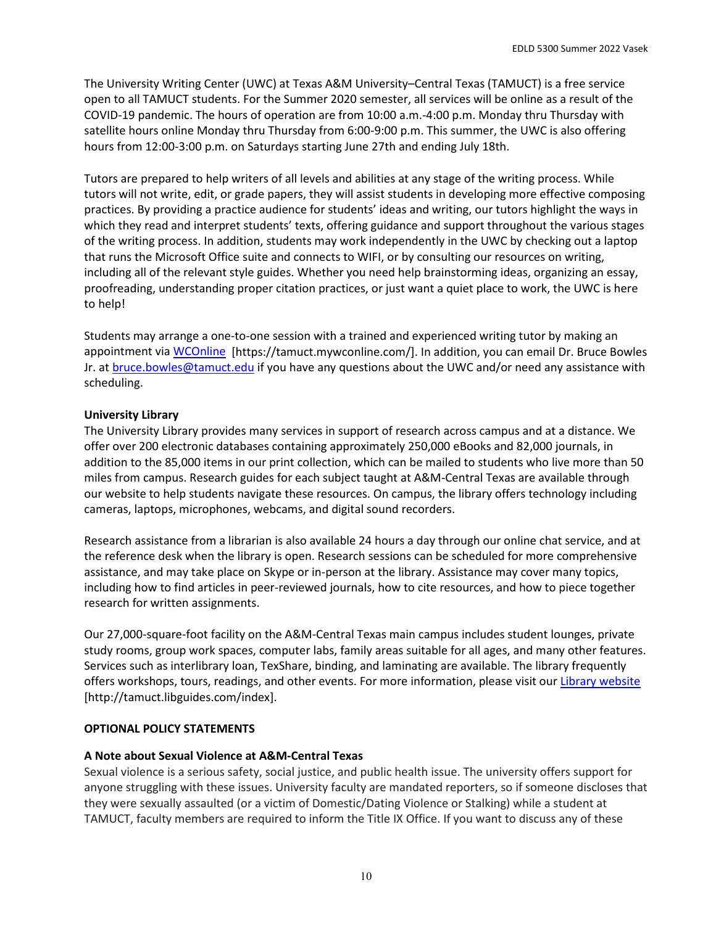The University Writing Center (UWC) at Texas A&M University–Central Texas (TAMUCT) is a free service open to all TAMUCT students. For the Summer 2020 semester, all services will be online as a result of the COVID-19 pandemic. The hours of operation are from 10:00 a.m.-4:00 p.m. Monday thru Thursday with satellite hours online Monday thru Thursday from 6:00-9:00 p.m. This summer, the UWC is also offering hours from 12:00-3:00 p.m. on Saturdays starting June 27th and ending July 18th.

Tutors are prepared to help writers of all levels and abilities at any stage of the writing process. While tutors will not write, edit, or grade papers, they will assist students in developing more effective composing practices. By providing a practice audience for students' ideas and writing, our tutors highlight the ways in which they read and interpret students' texts, offering guidance and support throughout the various stages of the writing process. In addition, students may work independently in the UWC by checking out a laptop that runs the Microsoft Office suite and connects to WIFI, or by consulting our resources on writing, including all of the relevant style guides. Whether you need help brainstorming ideas, organizing an essay, proofreading, understanding proper citation practices, or just want a quiet place to work, the UWC is here to help!

Students may arrange a one-to-one session with a trained and experienced writing tutor by making an appointment via [WCOnline](https://tamuct.mywconline.com/) [https://tamuct.mywconline.com/]. In addition, you can email Dr. Bruce Bowles Jr. at [bruce.bowles@tamuct.edu](mailto:bruce.bowles@tamuct.edu) if you have any questions about the UWC and/or need any assistance with scheduling.

## **University Library**

The University Library provides many services in support of research across campus and at a distance. We offer over 200 electronic databases containing approximately 250,000 eBooks and 82,000 journals, in addition to the 85,000 items in our print collection, which can be mailed to students who live more than 50 miles from campus. Research guides for each subject taught at A&M-Central Texas are available through our website to help students navigate these resources. On campus, the library offers technology including cameras, laptops, microphones, webcams, and digital sound recorders.

Research assistance from a librarian is also available 24 hours a day through our online chat service, and at the reference desk when the library is open. Research sessions can be scheduled for more comprehensive assistance, and may take place on Skype or in-person at the library. Assistance may cover many topics, including how to find articles in peer-reviewed journals, how to cite resources, and how to piece together research for written assignments.

Our 27,000-square-foot facility on the A&M-Central Texas main campus includes student lounges, private study rooms, group work spaces, computer labs, family areas suitable for all ages, and many other features. Services such as interlibrary loan, TexShare, binding, and laminating are available. The library frequently offers workshops, tours, readings, and other events. For more information, please visit our [Library website](https://tamuct.libguides.com/index) [http://tamuct.libguides.com/index].

## **OPTIONAL POLICY STATEMENTS**

## **A Note about Sexual Violence at A&M-Central Texas**

Sexual violence is a serious safety, social justice, and public health issue. The university offers support for anyone struggling with these issues. University faculty are mandated reporters, so if someone discloses that they were sexually assaulted (or a victim of Domestic/Dating Violence or Stalking) while a student at TAMUCT, faculty members are required to inform the Title IX Office. If you want to discuss any of these